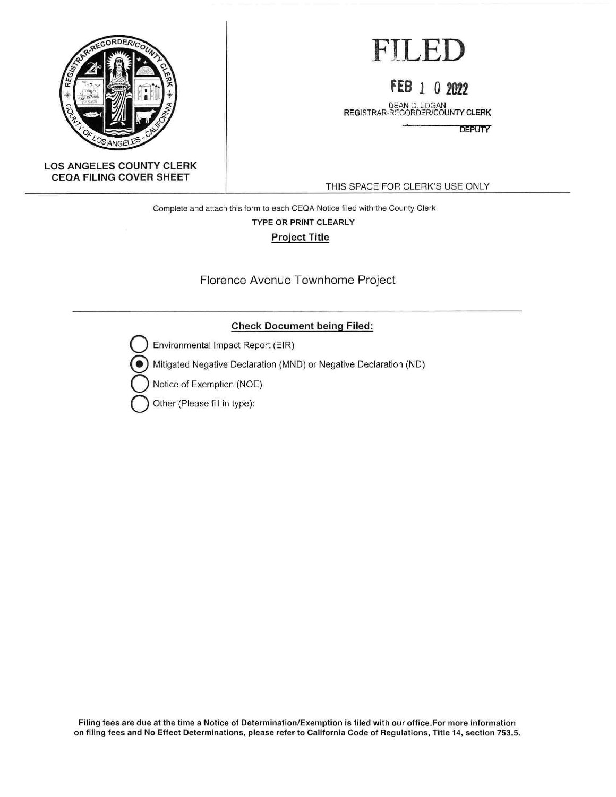

# FILED

# **FEB 1** 0 **ffl2**

DEAN C. LOGAN<br>REGISTRAR-RECORDER/COUNTY CLERK

**DEPUTY** 

#### **LOS ANGELES COUNTY CLERK CEOA FILING COVER SHEET**

THIS SPACE FOR CLERK'S USE ONLY

Complete and attach this form to each CEOA Notice filed with the County Clerk

#### **TYPE OR PRINT CLEARLY**

**Project Title** 

Florence Avenue Townhome Project

### **Check Document being Filed:**

Environmental Impact Report (EIR)

{!) Mitigated Negative Declaration (MND) or Negative Declaration (NO)

**Notice of Exemption (NOE)** 

**Q** Other (Please fill in type):

Filing fees are due at the time a Notice of Determination/Exemption is filed with our office.For more information on filing fees and No Effect Determinations, please refer to California Code of Regulations, Title 14, section 753.5.